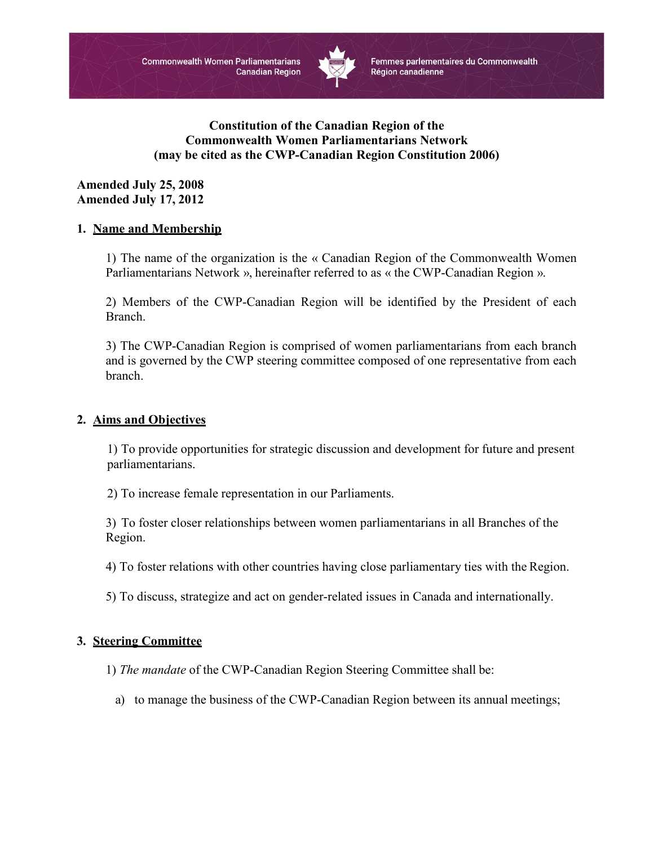

Femmes parlementaires du Commonwealth Région canadienne

# **Constitution of the Canadian Region of the Commonwealth Women Parliamentarians Network (may be cited as the CWP-Canadian Region Constitution 2006)**

**Amended July 25, 2008 Amended July 17, 2012**

## **1. Name and Membership**

1) The name of the organization is the « Canadian Region of the Commonwealth Women Parliamentarians Network », hereinafter referred to as « the CWP-Canadian Region ».

2) Members of the CWP-Canadian Region will be identified by the President of each Branch.

3) The CWP-Canadian Region is comprised of women parliamentarians from each branch and is governed by the CWP steering committee composed of one representative from each branch.

#### **2. Aims and Objectives**

1) To provide opportunities for strategic discussion and development for future and present parliamentarians.

2) To increase female representation in our Parliaments.

3) To foster closer relationships between women parliamentarians in all Branches of the Region.

4) To foster relations with other countries having close parliamentary ties with the Region.

5) To discuss, strategize and act on gender-related issues in Canada and internationally.

## **3. Steering Committee**

1) *The mandate* of the CWP-Canadian Region Steering Committee shall be:

a) to manage the business of the CWP-Canadian Region between its annual meetings;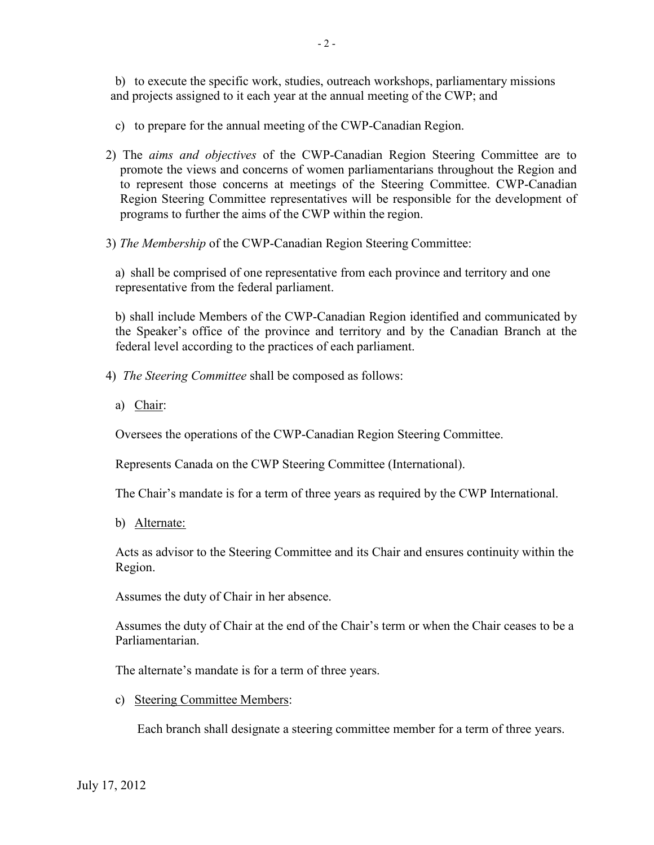b) to execute the specific work, studies, outreach workshops, parliamentary missions and projects assigned to it each year at the annual meeting of the CWP; and

c) to prepare for the annual meeting of the CWP-Canadian Region.

- 2) The *aims and objectives* of the CWP-Canadian Region Steering Committee are to promote the views and concerns of women parliamentarians throughout the Region and to represent those concerns at meetings of the Steering Committee. CWP-Canadian Region Steering Committee representatives will be responsible for the development of programs to further the aims of the CWP within the region.
- 3) *The Membership* of the CWP-Canadian Region Steering Committee:

a) shall be comprised of one representative from each province and territory and one representative from the federal parliament.

b) shall include Members of the CWP-Canadian Region identified and communicated by the Speaker's office of the province and territory and by the Canadian Branch at the federal level according to the practices of each parliament.

- 4) *The Steering Committee* shall be composed as follows:
	- a) Chair:

Oversees the operations of the CWP-Canadian Region Steering Committee.

Represents Canada on the CWP Steering Committee (International).

The Chair's mandate is for a term of three years as required by the CWP International.

b) Alternate:

Acts as advisor to the Steering Committee and its Chair and ensures continuity within the Region.

Assumes the duty of Chair in her absence.

Assumes the duty of Chair at the end of the Chair's term or when the Chair ceases to be a Parliamentarian.

The alternate's mandate is for a term of three years.

c) Steering Committee Members:

Each branch shall designate a steering committee member for a term of three years.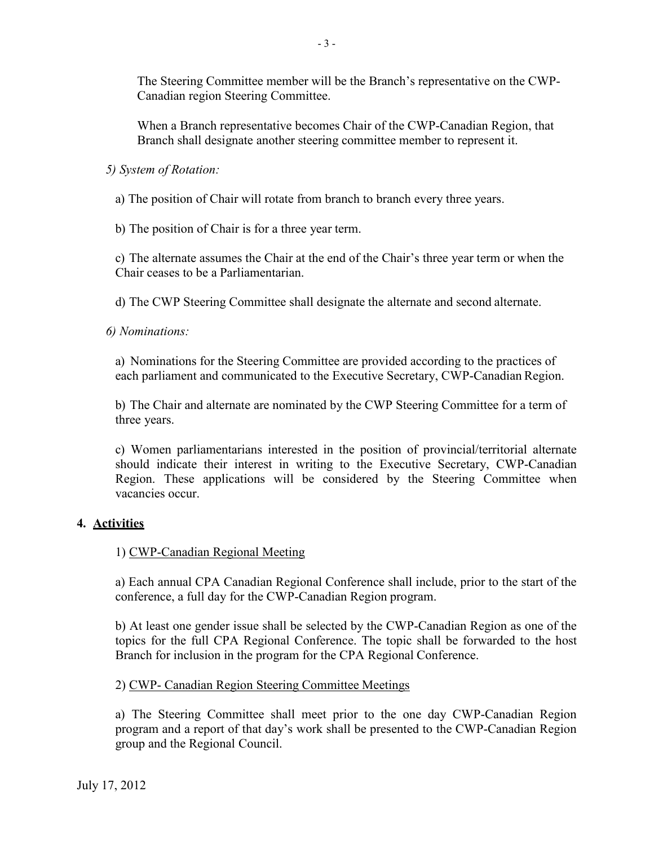The Steering Committee member will be the Branch's representative on the CWP-Canadian region Steering Committee.

When a Branch representative becomes Chair of the CWP-Canadian Region, that Branch shall designate another steering committee member to represent it.

*5) System of Rotation:*

a) The position of Chair will rotate from branch to branch every three years.

b) The position of Chair is for a three year term.

c) The alternate assumes the Chair at the end of the Chair's three year term or when the Chair ceases to be a Parliamentarian.

d) The CWP Steering Committee shall designate the alternate and second alternate.

*6) Nominations:*

a) Nominations for the Steering Committee are provided according to the practices of each parliament and communicated to the Executive Secretary, CWP-Canadian Region.

b) The Chair and alternate are nominated by the CWP Steering Committee for a term of three years.

c) Women parliamentarians interested in the position of provincial/territorial alternate should indicate their interest in writing to the Executive Secretary, CWP-Canadian Region. These applications will be considered by the Steering Committee when vacancies occur.

## **4. Activities**

#### 1) CWP-Canadian Regional Meeting

a) Each annual CPA Canadian Regional Conference shall include, prior to the start of the conference, a full day for the CWP-Canadian Region program.

b) At least one gender issue shall be selected by the CWP-Canadian Region as one of the topics for the full CPA Regional Conference. The topic shall be forwarded to the host Branch for inclusion in the program for the CPA Regional Conference.

## 2) CWP- Canadian Region Steering Committee Meetings

a) The Steering Committee shall meet prior to the one day CWP-Canadian Region program and a report of that day's work shall be presented to the CWP-Canadian Region group and the Regional Council.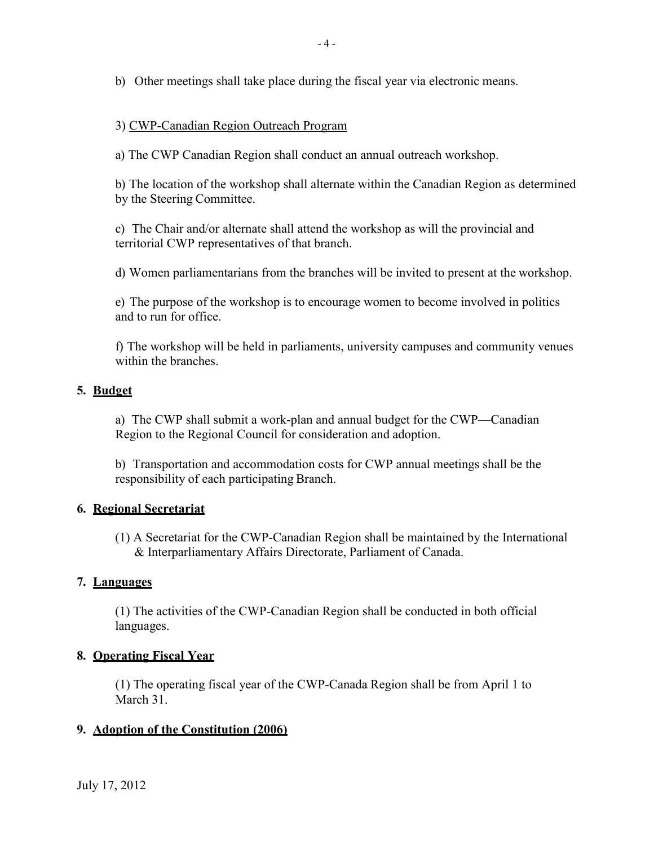b) Other meetings shall take place during the fiscal year via electronic means.

# 3) CWP-Canadian Region Outreach Program

a) The CWP Canadian Region shall conduct an annual outreach workshop.

b) The location of the workshop shall alternate within the Canadian Region as determined by the Steering Committee.

c) The Chair and/or alternate shall attend the workshop as will the provincial and territorial CWP representatives of that branch.

d) Women parliamentarians from the branches will be invited to present at the workshop.

e) The purpose of the workshop is to encourage women to become involved in politics and to run for office.

f) The workshop will be held in parliaments, university campuses and community venues within the branches.

## **5. Budget**

a) The CWP shall submit a work-plan and annual budget for the CWP—Canadian Region to the Regional Council for consideration and adoption.

b) Transportation and accommodation costs for CWP annual meetings shall be the responsibility of each participating Branch.

## **6. Regional Secretariat**

(1) A Secretariat for the CWP-Canadian Region shall be maintained by the International & Interparliamentary Affairs Directorate, Parliament of Canada.

## **7. Languages**

(1) The activities of the CWP-Canadian Region shall be conducted in both official languages.

## **8. Operating Fiscal Year**

(1) The operating fiscal year of the CWP-Canada Region shall be from April 1 to March 31.

## **9. Adoption of the Constitution (2006)**